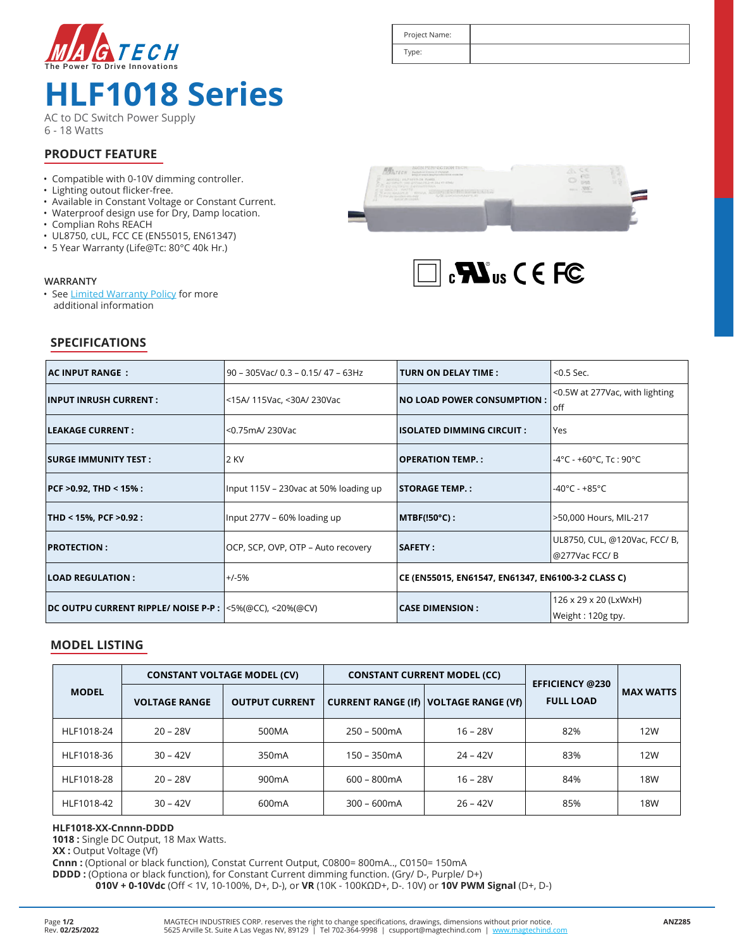

## **HLF1018 Series**

AC to DC Switch Power Supply 6 - 18 Watts

# Type:

Project Name:

#### **PRODUCT FEATURE**

- Compatible with 0-10V dimming controller.
- Lighting outout flicker-free.
- Available in Constant Voltage or Constant Current.
- Waterproof design use for Dry, Damp location.
- Complian Rohs REACH

**SPECIFICATIONS**

- UL8750, cUL, FCC CE (EN55015, EN61347)
- 5 Year Warranty (Life@Tc: 80°C 40k Hr.)

#### **WARRANTY**

• See Limited Warranty Policy for more additional information





| AC INPUT RANGE :                                             | 90 - 305Vac/ 0.3 - 0.15/ 47 - 63Hz                               | <b>TURN ON DELAY TIME :</b>                        | $<$ 0.5 Sec.                                            |  |
|--------------------------------------------------------------|------------------------------------------------------------------|----------------------------------------------------|---------------------------------------------------------|--|
| <b>INPUT INRUSH CURRENT :</b>                                | <b>NO LOAD POWER CONSUMPTION :</b><br><15A/ 115Vac, <30A/ 230Vac |                                                    | <0.5W at 277Vac, with lighting<br>loff                  |  |
| LEAKAGE CURRENT :                                            | <0.75mA/ 230Vac                                                  | <b>ISOLATED DIMMING CIRCUIT :</b><br>lYes          |                                                         |  |
| <b>SURGE IMMUNITY TEST:</b>                                  | 2 KV<br><b>OPERATION TEMP. :</b>                                 |                                                    | $-4^{\circ}$ C - +60 $^{\circ}$ C, Tc : 90 $^{\circ}$ C |  |
| $PCF > 0.92$ , THD < 15% :                                   | Input 115V - 230vac at 50% loading up                            | <b>STORAGE TEMP.:</b>                              | -40°C - +85°C                                           |  |
| THD < 15%, PCF >0.92 :                                       | Input 277V - 60% loading up                                      | $MTEF(!50°C)$ :                                    | >50,000 Hours, MIL-217                                  |  |
| <b>PROTECTION:</b>                                           | OCP, SCP, OVP, OTP - Auto recovery                               |                                                    | UL8750, CUL, @120Vac, FCC/ B,<br>@277Vac FCC/B          |  |
| <b>LOAD REGULATION :</b>                                     | $+/-5%$                                                          | CE (EN55015, EN61547, EN61347, EN6100-3-2 CLASS C) |                                                         |  |
| DC OUTPU CURRENT RIPPLE/ NOISE P-P : $ $ <5%(@CC), <20%(@CV) |                                                                  | <b>CASE DIMENSION :</b>                            | 126 x 29 x 20 (LxWxH)                                   |  |
|                                                              |                                                                  |                                                    | Weight : 120g tpy.                                      |  |

#### **MODEL LISTING**

|              | <b>CONSTANT VOLTAGE MODEL (CV)</b> |                       | <b>CONSTANT CURRENT MODEL (CC)</b> |                                                | <b>EFFICIENCY @230</b> |                  |
|--------------|------------------------------------|-----------------------|------------------------------------|------------------------------------------------|------------------------|------------------|
| <b>MODEL</b> | <b>VOLTAGE RANGE</b>               | <b>OUTPUT CURRENT</b> |                                    | <b>CURRENT RANGE (If)   VOLTAGE RANGE (Vf)</b> | <b>FULL LOAD</b>       | <b>MAX WATTS</b> |
| HLF1018-24   | $20 - 28V$                         | 500MA                 | $250 - 500mA$                      | $16 - 28V$                                     | 82%                    | 12W              |
| HLF1018-36   | $30 - 42V$                         | 350 <sub>m</sub> A    | 150 - 350mA                        | $24 - 42V$                                     | 83%                    | 12W              |
| HLF1018-28   | $20 - 28V$                         | 900 <sub>m</sub> A    | $600 - 800mA$                      | $16 - 28V$                                     | 84%                    | 18W              |
| HLF1018-42   | $30 - 42V$                         | 600 <sub>m</sub> A    | $300 - 600mA$                      | $26 - 42V$                                     | 85%                    | <b>18W</b>       |

#### **HLF1018-XX-Cnnnn-DDDD**

**1018 :** Single DC Output, 18 Max Watts.

**XX :** Output Voltage (Vf)

**Cnnn :** (Optional or black function), Constat Current Output, C0800= 800mA.., C0150= 150mA

**DDDD :** (Optiona or black function), for Constant Current dimming function. (Gry/ D-, Purple/ D+)

**010V + 0-10Vdc** (Off < 1V, 10-100%, D+, D-), or **VR** (10K - 100KΩD+, D-. 10V) or **10V PWM Signal** (D+, D-)